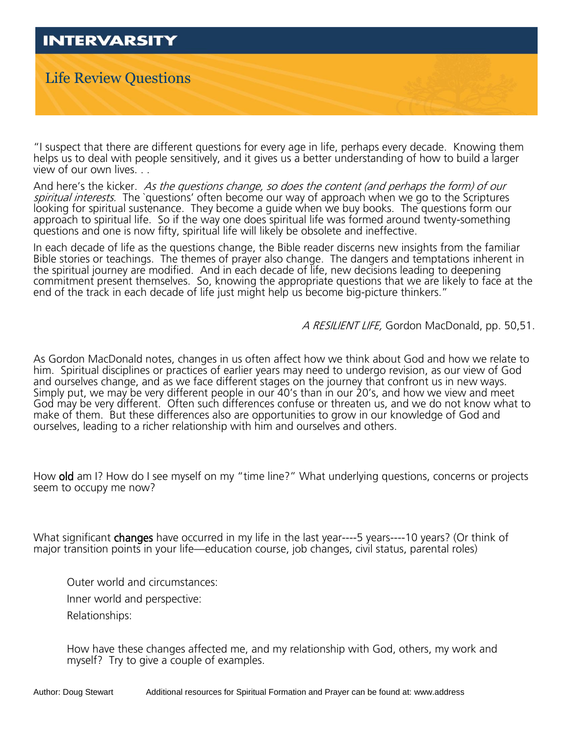## **INTERVARSITY** Life Review Questions

"I suspect that there are different questions for every age in life, perhaps every decade. Knowing them helps us to deal with people sensitively, and it gives us a better understanding of how to build a larger view of our own lives. . .

And here's the kicker. As the questions change, so does the content (and perhaps the form) of our spiritual interests. The `questions' often become our way of approach when we go to the Scriptures looking for spiritual sustenance. They become a guide when we buy books. The questions form our approach to spiritual life. So if the way one does spiritual life was formed around twenty-something questions and one is now fifty, spiritual life will likely be obsolete and ineffective.

In each decade of life as the questions change, the Bible reader discerns new insights from the familiar Bible stories or teachings. The themes of prayer also change. The dangers and temptations inherent in the spiritual journey are modified. And in each decade of life, new decisions leading to deepening commitment present themselves. So, knowing the appropriate questions that we are likely to face at the end of the track in each decade of life just might help us become big-picture thinkers."

A RESILIENT LIFE, Gordon MacDonald, pp. 50,51.

As Gordon MacDonald notes, changes in us often affect how we think about God and how we relate to him. Spiritual disciplines or practices of earlier years may need to undergo revision, as our view of God and ourselves change, and as we face different stages on the journey that confront us in new ways. Simply put, we may be very different people in our 40's than in our 20's, and how we view and meet God may be very different. Often such differences confuse or threaten us, and we do not know what to make of them. But these differences also are opportunities to grow in our knowledge of God and ourselves, leading to a richer relationship with him and ourselves and others.

How old am I? How do I see myself on my "time line?" What underlying questions, concerns or projects seem to occupy me now?

What significant **changes** have occurred in my life in the last year----5 years----10 years? (Or think of major transition points in your life—education course, job changes, civil status, parental roles)

Outer world and circumstances: Inner world and perspective: Relationships:

How have these changes affected me, and my relationship with God, others, my work and myself? Try to give a couple of examples.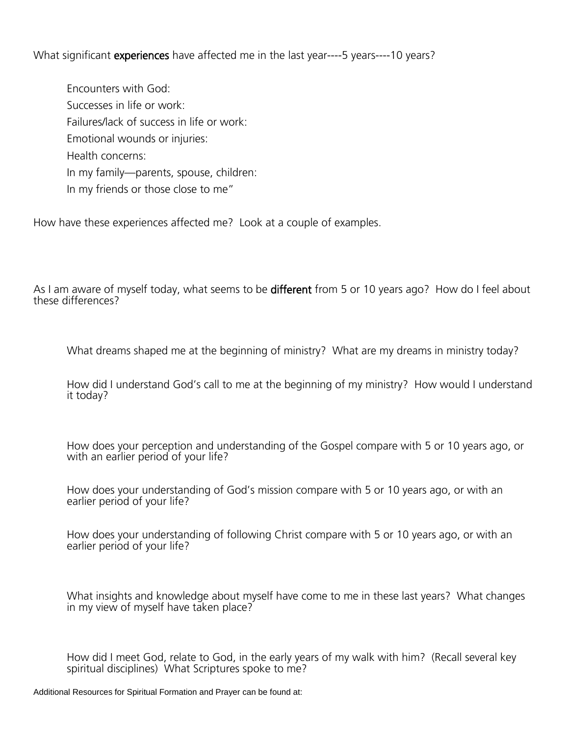What significant **experiences** have affected me in the last year----5 years----10 years?

Encounters with God: Successes in life or work: Failures/lack of success in life or work: Emotional wounds or injuries: Health concerns: In my family—parents, spouse, children: In my friends or those close to me"

How have these experiences affected me? Look at a couple of examples.

As I am aware of myself today, what seems to be **different** from 5 or 10 years ago? How do I feel about these differences?

What dreams shaped me at the beginning of ministry? What are my dreams in ministry today?

How did I understand God's call to me at the beginning of my ministry? How would I understand it today?

How does your perception and understanding of the Gospel compare with 5 or 10 years ago, or with an earlier period of your life?

How does your understanding of God's mission compare with 5 or 10 years ago, or with an earlier period of your life?

How does your understanding of following Christ compare with 5 or 10 years ago, or with an earlier period of your life?

What insights and knowledge about myself have come to me in these last years? What changes in my view of myself have taken place?

How did I meet God, relate to God, in the early years of my walk with him? (Recall several key spiritual disciplines) What Scriptures spoke to me?